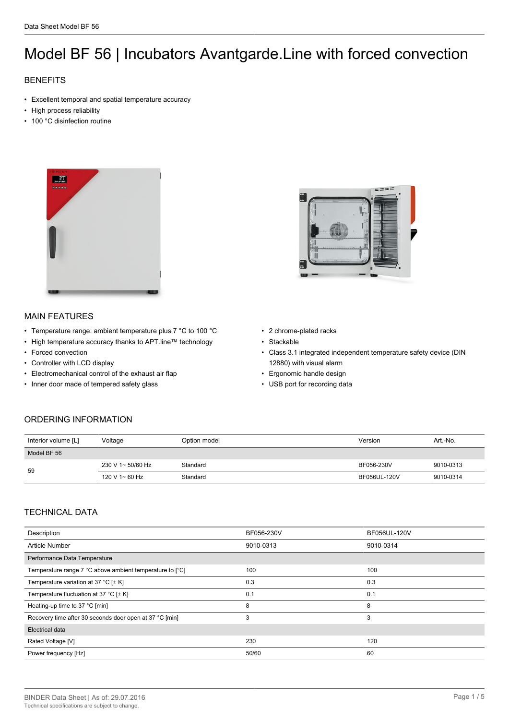# Model BF 56 | Incubators Avantgarde.Line with forced convection

# **BENEFITS**

- Excellent temporal and spatial temperature accuracy
- High process reliability
- 100 °C disinfection routine



## MAIN FEATURES

- Temperature range: ambient temperature plus 7 °C to 100 °C
- High temperature accuracy thanks to APT.line™ technology
- Forced convection
- Controller with LCD display
- Electromechanical control of the exhaust air flap
- Inner door made of tempered safety glass



- 2 chrome-plated racks
- Stackable
- Class 3.1 integrated independent temperature safety device (DIN 12880) with visual alarm
- Ergonomic handle design
- USB port for recording data

## ORDERING INFORMATION

| Interior volume [L] | Voltage           | Option model | Version      | Art.-No.  |
|---------------------|-------------------|--------------|--------------|-----------|
| Model BF 56         |                   |              |              |           |
| 59                  | 230 V 1~ 50/60 Hz | Standard     | BF056-230V   | 9010-0313 |
|                     | 120 V 1~ 60 Hz    | Standard     | BF056UL-120V | 9010-0314 |

#### TECHNICAL DATA

| Description                                              | BF056-230V | BF056UL-120V |  |
|----------------------------------------------------------|------------|--------------|--|
| Article Number                                           | 9010-0313  | 9010-0314    |  |
| Performance Data Temperature                             |            |              |  |
| Temperature range 7 °C above ambient temperature to [°C] | 100        | 100          |  |
| Temperature variation at 37 °C [ $\pm$ K]                | 0.3        | 0.3          |  |
| Temperature fluctuation at 37 °C [ $\pm$ K]              | 0.1        | 0.1          |  |
| Heating-up time to 37 °C [min]                           | 8          | 8            |  |
| Recovery time after 30 seconds door open at 37 °C [min]  | 3          | 3            |  |
| Electrical data                                          |            |              |  |
| Rated Voltage [V]                                        | 230        | 120          |  |
| Power frequency [Hz]                                     | 50/60      | 60           |  |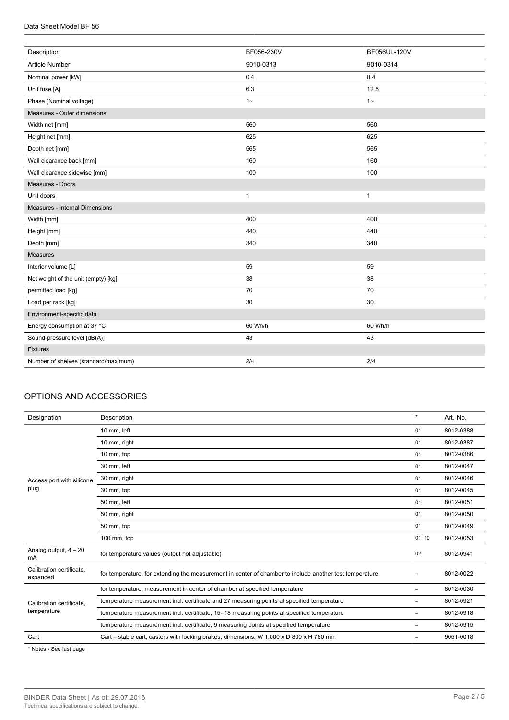| Description                          | BF056-230V   | BF056UL-120V |
|--------------------------------------|--------------|--------------|
| Article Number                       | 9010-0313    | 9010-0314    |
| Nominal power [kW]                   | 0.4          | 0.4          |
| Unit fuse [A]                        | 6.3          | 12.5         |
| Phase (Nominal voltage)              | $1 -$        | $1 -$        |
| Measures - Outer dimensions          |              |              |
| Width net [mm]                       | 560          | 560          |
| Height net [mm]                      | 625          | 625          |
| Depth net [mm]                       | 565          | 565          |
| Wall clearance back [mm]             | 160          | 160          |
| Wall clearance sidewise [mm]         | 100          | 100          |
| Measures - Doors                     |              |              |
| Unit doors                           | $\mathbf{1}$ | $\mathbf{1}$ |
| Measures - Internal Dimensions       |              |              |
| Width [mm]                           | 400          | 400          |
| Height [mm]                          | 440          | 440          |
| Depth [mm]                           | 340          | 340          |
| <b>Measures</b>                      |              |              |
| Interior volume [L]                  | 59           | 59           |
| Net weight of the unit (empty) [kg]  | 38           | 38           |
| permitted load [kg]                  | 70           | 70           |
| Load per rack [kg]                   | 30           | 30           |
| Environment-specific data            |              |              |
| Energy consumption at 37 °C          | 60 Wh/h      | 60 Wh/h      |
| Sound-pressure level [dB(A)]         | 43           | 43           |
| Fixtures                             |              |              |
| Number of shelves (standard/maximum) | 2/4          | 2/4          |
|                                      |              |              |

## OPTIONS AND ACCESSORIES

| Designation                             | Description                                                                                             | $\star$                  | Art.-No.  |
|-----------------------------------------|---------------------------------------------------------------------------------------------------------|--------------------------|-----------|
|                                         | 10 mm, left                                                                                             | 01                       | 8012-0388 |
|                                         | 10 mm, right                                                                                            | 01                       | 8012-0387 |
|                                         | 10 mm, top                                                                                              | 01                       | 8012-0386 |
|                                         | 30 mm. left                                                                                             | 01                       | 8012-0047 |
| Access port with silicone<br>plug       | 30 mm, right                                                                                            | 01                       | 8012-0046 |
|                                         | 30 mm, top                                                                                              | 01                       | 8012-0045 |
|                                         | 50 mm, left                                                                                             | 01                       | 8012-0051 |
|                                         | 50 mm, right                                                                                            | 01                       | 8012-0050 |
|                                         | 50 mm, top                                                                                              | 01                       | 8012-0049 |
|                                         | 100 mm, top                                                                                             | 01, 10                   | 8012-0053 |
| Analog output, $4 - 20$<br>mA           | for temperature values (output not adjustable)                                                          | 02                       | 8012-0941 |
| Calibration certificate.<br>expanded    | for temperature; for extending the measurement in center of chamber to include another test temperature | ۰                        | 8012-0022 |
| Calibration certificate.<br>temperature | for temperature, measurement in center of chamber at specified temperature                              | -                        | 8012-0030 |
|                                         | temperature measurement incl. certificate and 27 measuring points at specified temperature              | $\overline{\phantom{0}}$ | 8012-0921 |
|                                         | temperature measurement incl. certificate, 15-18 measuring points at specified temperature              | ۰                        | 8012-0918 |
|                                         | temperature measurement incl. certificate, 9 measuring points at specified temperature                  | ۰                        | 8012-0915 |
| Cart                                    | Cart – stable cart, casters with locking brakes, dimensions: W $1,000 \times D$ 800 x H 780 mm          | -                        | 9051-0018 |

\* Notes › See last page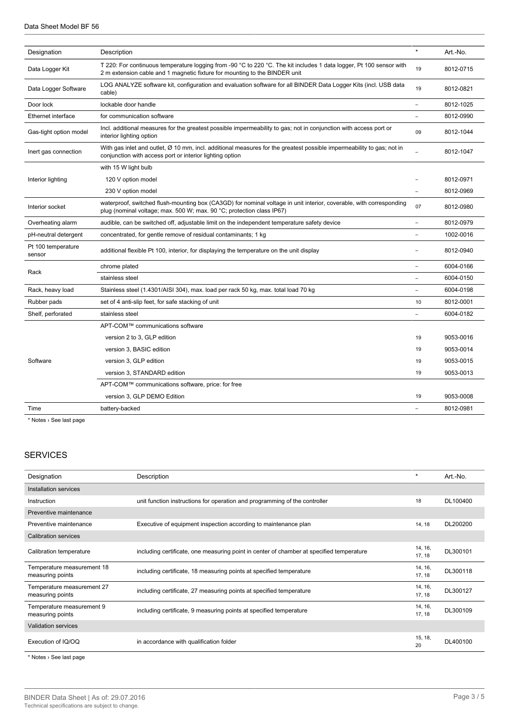| $\star$<br>Art.-No.<br>Designation<br>Description<br>T 220: For continuous temperature logging from -90 °C to 220 °C. The kit includes 1 data logger, Pt 100 sensor with<br>Data Logger Kit<br>19<br>8012-0715<br>2 m extension cable and 1 magnetic fixture for mounting to the BINDER unit<br>LOG ANALYZE software kit, configuration and evaluation software for all BINDER Data Logger Kits (incl. USB data<br>Data Logger Software<br>8012-0821<br>19<br>cable)<br>Door lock<br>lockable door handle<br>8012-1025<br>Ethernet interface<br>for communication software<br>8012-0990<br>Incl. additional measures for the greatest possible impermeability to gas; not in conjunction with access port or<br>Gas-tight option model<br>09<br>8012-1044<br>interior lighting option<br>With gas inlet and outlet, Ø 10 mm, incl. additional measures for the greatest possible impermeability to gas; not in<br>8012-1047<br>Inert gas connection<br>$\sim$<br>conjunction with access port or interior lighting option<br>with 15 W light bulb<br>Interior lighting<br>120 V option model<br>8012-0971<br>230 V option model<br>8012-0969<br>waterproof, switched flush-mounting box (CA3GD) for nominal voltage in unit interior, coverable, with corresponding<br>07<br>Interior socket<br>8012-0980<br>plug (nominal voltage; max. 500 W; max. 90 °C; protection class IP67)<br>audible, can be switched off, adjustable limit on the independent temperature safety device<br>8012-0979<br>Overheating alarm<br>concentrated, for gentle remove of residual contaminants; 1 kg<br>1002-0016<br>pH-neutral detergent<br>Pt 100 temperature<br>8012-0940<br>additional flexible Pt 100, interior, for displaying the temperature on the unit display<br>sensor<br>6004-0166<br>chrome plated<br>Rack<br>stainless steel<br>6004-0150<br>Rack, heavy load<br>Stainless steel (1.4301/AISI 304), max. load per rack 50 kg, max. total load 70 kg<br>6004-0198<br>Rubber pads<br>set of 4 anti-slip feet, for safe stacking of unit<br>10<br>8012-0001<br>Shelf, perforated<br>stainless steel<br>6004-0182<br>APT-COM™ communications software<br>version 2 to 3, GLP edition<br>9053-0016<br>19<br>version 3, BASIC edition<br>9053-0014<br>19<br>Software<br>version 3, GLP edition<br>9053-0015<br>19<br>9053-0013<br>version 3, STANDARD edition<br>19<br>APT-COM™ communications software, price: for free<br>version 3, GLP DEMO Edition<br>9053-0008<br>19<br>Time<br>battery-backed<br>8012-0981 |  |  |  |  |
|-------------------------------------------------------------------------------------------------------------------------------------------------------------------------------------------------------------------------------------------------------------------------------------------------------------------------------------------------------------------------------------------------------------------------------------------------------------------------------------------------------------------------------------------------------------------------------------------------------------------------------------------------------------------------------------------------------------------------------------------------------------------------------------------------------------------------------------------------------------------------------------------------------------------------------------------------------------------------------------------------------------------------------------------------------------------------------------------------------------------------------------------------------------------------------------------------------------------------------------------------------------------------------------------------------------------------------------------------------------------------------------------------------------------------------------------------------------------------------------------------------------------------------------------------------------------------------------------------------------------------------------------------------------------------------------------------------------------------------------------------------------------------------------------------------------------------------------------------------------------------------------------------------------------------------------------------------------------------------------------------------------------------------------------------------------------------------------------------------------------------------------------------------------------------------------------------------------------------------------------------------------------------------------------------------------------------------------------------------------------------------------------------------------------------------------------------------------------------------------------------------------|--|--|--|--|
|                                                                                                                                                                                                                                                                                                                                                                                                                                                                                                                                                                                                                                                                                                                                                                                                                                                                                                                                                                                                                                                                                                                                                                                                                                                                                                                                                                                                                                                                                                                                                                                                                                                                                                                                                                                                                                                                                                                                                                                                                                                                                                                                                                                                                                                                                                                                                                                                                                                                                                             |  |  |  |  |
|                                                                                                                                                                                                                                                                                                                                                                                                                                                                                                                                                                                                                                                                                                                                                                                                                                                                                                                                                                                                                                                                                                                                                                                                                                                                                                                                                                                                                                                                                                                                                                                                                                                                                                                                                                                                                                                                                                                                                                                                                                                                                                                                                                                                                                                                                                                                                                                                                                                                                                             |  |  |  |  |
|                                                                                                                                                                                                                                                                                                                                                                                                                                                                                                                                                                                                                                                                                                                                                                                                                                                                                                                                                                                                                                                                                                                                                                                                                                                                                                                                                                                                                                                                                                                                                                                                                                                                                                                                                                                                                                                                                                                                                                                                                                                                                                                                                                                                                                                                                                                                                                                                                                                                                                             |  |  |  |  |
|                                                                                                                                                                                                                                                                                                                                                                                                                                                                                                                                                                                                                                                                                                                                                                                                                                                                                                                                                                                                                                                                                                                                                                                                                                                                                                                                                                                                                                                                                                                                                                                                                                                                                                                                                                                                                                                                                                                                                                                                                                                                                                                                                                                                                                                                                                                                                                                                                                                                                                             |  |  |  |  |
|                                                                                                                                                                                                                                                                                                                                                                                                                                                                                                                                                                                                                                                                                                                                                                                                                                                                                                                                                                                                                                                                                                                                                                                                                                                                                                                                                                                                                                                                                                                                                                                                                                                                                                                                                                                                                                                                                                                                                                                                                                                                                                                                                                                                                                                                                                                                                                                                                                                                                                             |  |  |  |  |
|                                                                                                                                                                                                                                                                                                                                                                                                                                                                                                                                                                                                                                                                                                                                                                                                                                                                                                                                                                                                                                                                                                                                                                                                                                                                                                                                                                                                                                                                                                                                                                                                                                                                                                                                                                                                                                                                                                                                                                                                                                                                                                                                                                                                                                                                                                                                                                                                                                                                                                             |  |  |  |  |
|                                                                                                                                                                                                                                                                                                                                                                                                                                                                                                                                                                                                                                                                                                                                                                                                                                                                                                                                                                                                                                                                                                                                                                                                                                                                                                                                                                                                                                                                                                                                                                                                                                                                                                                                                                                                                                                                                                                                                                                                                                                                                                                                                                                                                                                                                                                                                                                                                                                                                                             |  |  |  |  |
|                                                                                                                                                                                                                                                                                                                                                                                                                                                                                                                                                                                                                                                                                                                                                                                                                                                                                                                                                                                                                                                                                                                                                                                                                                                                                                                                                                                                                                                                                                                                                                                                                                                                                                                                                                                                                                                                                                                                                                                                                                                                                                                                                                                                                                                                                                                                                                                                                                                                                                             |  |  |  |  |
|                                                                                                                                                                                                                                                                                                                                                                                                                                                                                                                                                                                                                                                                                                                                                                                                                                                                                                                                                                                                                                                                                                                                                                                                                                                                                                                                                                                                                                                                                                                                                                                                                                                                                                                                                                                                                                                                                                                                                                                                                                                                                                                                                                                                                                                                                                                                                                                                                                                                                                             |  |  |  |  |
|                                                                                                                                                                                                                                                                                                                                                                                                                                                                                                                                                                                                                                                                                                                                                                                                                                                                                                                                                                                                                                                                                                                                                                                                                                                                                                                                                                                                                                                                                                                                                                                                                                                                                                                                                                                                                                                                                                                                                                                                                                                                                                                                                                                                                                                                                                                                                                                                                                                                                                             |  |  |  |  |
|                                                                                                                                                                                                                                                                                                                                                                                                                                                                                                                                                                                                                                                                                                                                                                                                                                                                                                                                                                                                                                                                                                                                                                                                                                                                                                                                                                                                                                                                                                                                                                                                                                                                                                                                                                                                                                                                                                                                                                                                                                                                                                                                                                                                                                                                                                                                                                                                                                                                                                             |  |  |  |  |
|                                                                                                                                                                                                                                                                                                                                                                                                                                                                                                                                                                                                                                                                                                                                                                                                                                                                                                                                                                                                                                                                                                                                                                                                                                                                                                                                                                                                                                                                                                                                                                                                                                                                                                                                                                                                                                                                                                                                                                                                                                                                                                                                                                                                                                                                                                                                                                                                                                                                                                             |  |  |  |  |
|                                                                                                                                                                                                                                                                                                                                                                                                                                                                                                                                                                                                                                                                                                                                                                                                                                                                                                                                                                                                                                                                                                                                                                                                                                                                                                                                                                                                                                                                                                                                                                                                                                                                                                                                                                                                                                                                                                                                                                                                                                                                                                                                                                                                                                                                                                                                                                                                                                                                                                             |  |  |  |  |
|                                                                                                                                                                                                                                                                                                                                                                                                                                                                                                                                                                                                                                                                                                                                                                                                                                                                                                                                                                                                                                                                                                                                                                                                                                                                                                                                                                                                                                                                                                                                                                                                                                                                                                                                                                                                                                                                                                                                                                                                                                                                                                                                                                                                                                                                                                                                                                                                                                                                                                             |  |  |  |  |
|                                                                                                                                                                                                                                                                                                                                                                                                                                                                                                                                                                                                                                                                                                                                                                                                                                                                                                                                                                                                                                                                                                                                                                                                                                                                                                                                                                                                                                                                                                                                                                                                                                                                                                                                                                                                                                                                                                                                                                                                                                                                                                                                                                                                                                                                                                                                                                                                                                                                                                             |  |  |  |  |
|                                                                                                                                                                                                                                                                                                                                                                                                                                                                                                                                                                                                                                                                                                                                                                                                                                                                                                                                                                                                                                                                                                                                                                                                                                                                                                                                                                                                                                                                                                                                                                                                                                                                                                                                                                                                                                                                                                                                                                                                                                                                                                                                                                                                                                                                                                                                                                                                                                                                                                             |  |  |  |  |
|                                                                                                                                                                                                                                                                                                                                                                                                                                                                                                                                                                                                                                                                                                                                                                                                                                                                                                                                                                                                                                                                                                                                                                                                                                                                                                                                                                                                                                                                                                                                                                                                                                                                                                                                                                                                                                                                                                                                                                                                                                                                                                                                                                                                                                                                                                                                                                                                                                                                                                             |  |  |  |  |
|                                                                                                                                                                                                                                                                                                                                                                                                                                                                                                                                                                                                                                                                                                                                                                                                                                                                                                                                                                                                                                                                                                                                                                                                                                                                                                                                                                                                                                                                                                                                                                                                                                                                                                                                                                                                                                                                                                                                                                                                                                                                                                                                                                                                                                                                                                                                                                                                                                                                                                             |  |  |  |  |
|                                                                                                                                                                                                                                                                                                                                                                                                                                                                                                                                                                                                                                                                                                                                                                                                                                                                                                                                                                                                                                                                                                                                                                                                                                                                                                                                                                                                                                                                                                                                                                                                                                                                                                                                                                                                                                                                                                                                                                                                                                                                                                                                                                                                                                                                                                                                                                                                                                                                                                             |  |  |  |  |
|                                                                                                                                                                                                                                                                                                                                                                                                                                                                                                                                                                                                                                                                                                                                                                                                                                                                                                                                                                                                                                                                                                                                                                                                                                                                                                                                                                                                                                                                                                                                                                                                                                                                                                                                                                                                                                                                                                                                                                                                                                                                                                                                                                                                                                                                                                                                                                                                                                                                                                             |  |  |  |  |
|                                                                                                                                                                                                                                                                                                                                                                                                                                                                                                                                                                                                                                                                                                                                                                                                                                                                                                                                                                                                                                                                                                                                                                                                                                                                                                                                                                                                                                                                                                                                                                                                                                                                                                                                                                                                                                                                                                                                                                                                                                                                                                                                                                                                                                                                                                                                                                                                                                                                                                             |  |  |  |  |
|                                                                                                                                                                                                                                                                                                                                                                                                                                                                                                                                                                                                                                                                                                                                                                                                                                                                                                                                                                                                                                                                                                                                                                                                                                                                                                                                                                                                                                                                                                                                                                                                                                                                                                                                                                                                                                                                                                                                                                                                                                                                                                                                                                                                                                                                                                                                                                                                                                                                                                             |  |  |  |  |
|                                                                                                                                                                                                                                                                                                                                                                                                                                                                                                                                                                                                                                                                                                                                                                                                                                                                                                                                                                                                                                                                                                                                                                                                                                                                                                                                                                                                                                                                                                                                                                                                                                                                                                                                                                                                                                                                                                                                                                                                                                                                                                                                                                                                                                                                                                                                                                                                                                                                                                             |  |  |  |  |
|                                                                                                                                                                                                                                                                                                                                                                                                                                                                                                                                                                                                                                                                                                                                                                                                                                                                                                                                                                                                                                                                                                                                                                                                                                                                                                                                                                                                                                                                                                                                                                                                                                                                                                                                                                                                                                                                                                                                                                                                                                                                                                                                                                                                                                                                                                                                                                                                                                                                                                             |  |  |  |  |
|                                                                                                                                                                                                                                                                                                                                                                                                                                                                                                                                                                                                                                                                                                                                                                                                                                                                                                                                                                                                                                                                                                                                                                                                                                                                                                                                                                                                                                                                                                                                                                                                                                                                                                                                                                                                                                                                                                                                                                                                                                                                                                                                                                                                                                                                                                                                                                                                                                                                                                             |  |  |  |  |
|                                                                                                                                                                                                                                                                                                                                                                                                                                                                                                                                                                                                                                                                                                                                                                                                                                                                                                                                                                                                                                                                                                                                                                                                                                                                                                                                                                                                                                                                                                                                                                                                                                                                                                                                                                                                                                                                                                                                                                                                                                                                                                                                                                                                                                                                                                                                                                                                                                                                                                             |  |  |  |  |
|                                                                                                                                                                                                                                                                                                                                                                                                                                                                                                                                                                                                                                                                                                                                                                                                                                                                                                                                                                                                                                                                                                                                                                                                                                                                                                                                                                                                                                                                                                                                                                                                                                                                                                                                                                                                                                                                                                                                                                                                                                                                                                                                                                                                                                                                                                                                                                                                                                                                                                             |  |  |  |  |

\* Notes › See last page

## **SERVICES**

| Designation                                    | Description                                                                              | $\star$           | Art.-No. |
|------------------------------------------------|------------------------------------------------------------------------------------------|-------------------|----------|
| Installation services                          |                                                                                          |                   |          |
| Instruction                                    | unit function instructions for operation and programming of the controller               | 18                | DL100400 |
| Preventive maintenance                         |                                                                                          |                   |          |
| Preventive maintenance                         | Executive of equipment inspection according to maintenance plan                          | 14, 18            | DL200200 |
| <b>Calibration services</b>                    |                                                                                          |                   |          |
| Calibration temperature                        | including certificate, one measuring point in center of chamber at specified temperature | 14, 16,<br>17, 18 | DL300101 |
| Temperature measurement 18<br>measuring points | including certificate, 18 measuring points at specified temperature                      | 14, 16,<br>17, 18 | DL300118 |
| Temperature measurement 27<br>measuring points | including certificate, 27 measuring points at specified temperature                      | 14, 16,<br>17, 18 | DL300127 |
| Temperature measurement 9<br>measuring points  | including certificate, 9 measuring points at specified temperature                       | 14, 16,<br>17, 18 | DL300109 |
| <b>Validation services</b>                     |                                                                                          |                   |          |
| Execution of IQ/OQ                             | in accordance with qualification folder                                                  | 15, 18,<br>20     | DL400100 |

\* Notes › See last page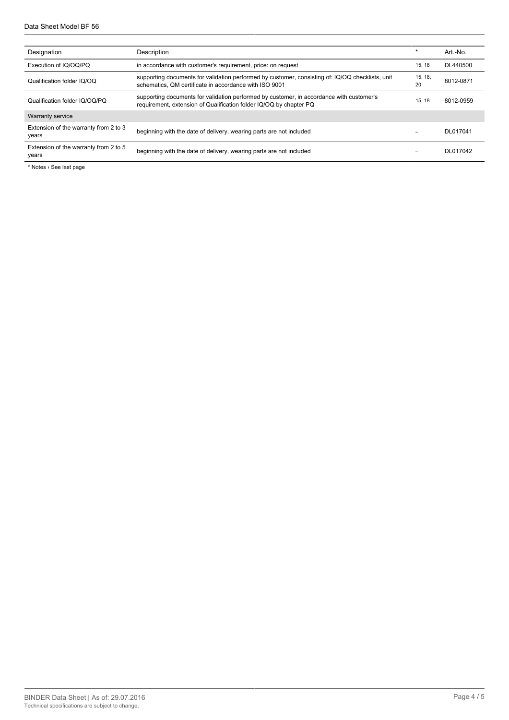| Designation                                    | Description                                                                                                                                                    | $\star$       | Art.-No.  |
|------------------------------------------------|----------------------------------------------------------------------------------------------------------------------------------------------------------------|---------------|-----------|
| Execution of IQ/OQ/PQ                          | in accordance with customer's requirement, price: on request                                                                                                   | 15, 18        | DL440500  |
| Qualification folder IQ/OQ                     | supporting documents for validation performed by customer, consisting of: IQ/OQ checklists, unit<br>schematics, QM certificate in accordance with ISO 9001     | 15, 18,<br>20 | 8012-0871 |
| Qualification folder IQ/OQ/PQ                  | supporting documents for validation performed by customer, in accordance with customer's<br>requirement, extension of Qualification folder IQ/OQ by chapter PQ | 15.18         | 8012-0959 |
| <b>Warranty service</b>                        |                                                                                                                                                                |               |           |
| Extension of the warranty from 2 to 3<br>years | beginning with the date of delivery, wearing parts are not included                                                                                            | -             | DL017041  |
| Extension of the warranty from 2 to 5<br>years | beginning with the date of delivery, wearing parts are not included                                                                                            |               | DL017042  |

\* Notes › See last page